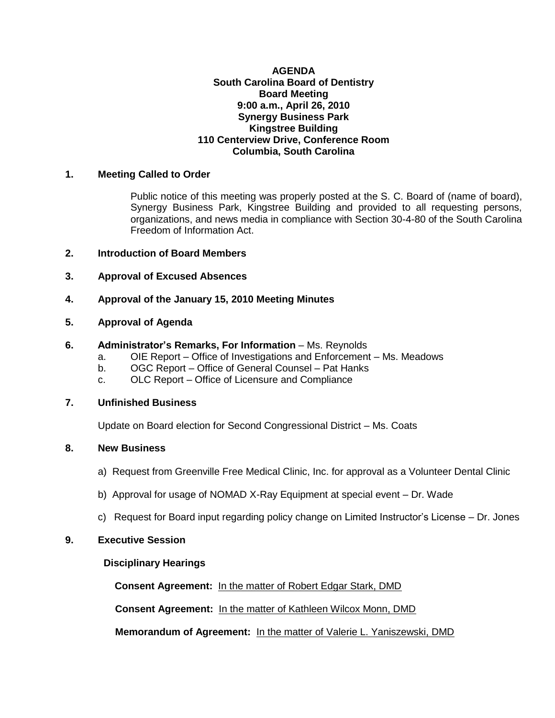## **AGENDA South Carolina Board of Dentistry Board Meeting 9:00 a.m., April 26, 2010 Synergy Business Park Kingstree Building 110 Centerview Drive, Conference Room Columbia, South Carolina**

## **1. Meeting Called to Order**

Public notice of this meeting was properly posted at the S. C. Board of (name of board), Synergy Business Park, Kingstree Building and provided to all requesting persons, organizations, and news media in compliance with Section 30-4-80 of the South Carolina Freedom of Information Act.

## **2. Introduction of Board Members**

- **3. Approval of Excused Absences**
- **4. Approval of the January 15, 2010 Meeting Minutes**

## **5. Approval of Agenda**

#### **6. Administrator's Remarks, For Information** – Ms. Reynolds

- a. OIE Report Office of Investigations and Enforcement Ms. Meadows
- b. OGC Report Office of General Counsel Pat Hanks
- c. OLC Report Office of Licensure and Compliance

#### **7. Unfinished Business**

Update on Board election for Second Congressional District – Ms. Coats

#### **8. New Business**

- a) Request from Greenville Free Medical Clinic, Inc. for approval as a Volunteer Dental Clinic
- b) Approval for usage of NOMAD X-Ray Equipment at special event Dr. Wade
- c) Request for Board input regarding policy change on Limited Instructor's License Dr. Jones

# **9. Executive Session**

# **Disciplinary Hearings**

 **Consent Agreement:** In the matter of Robert Edgar Stark, DMD

 **Consent Agreement:** In the matter of Kathleen Wilcox Monn, DMD

**Memorandum of Agreement:** In the matter of Valerie L. Yaniszewski, DMD